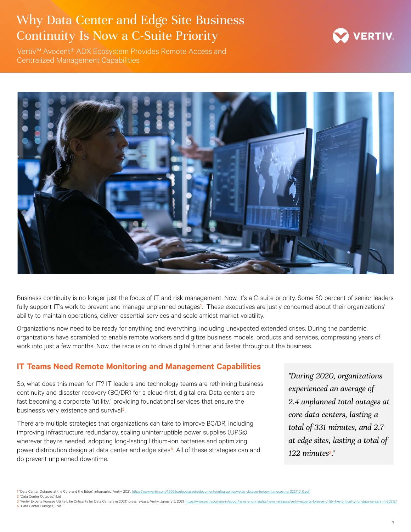## Why Data Center and Edge Site Business Continuity Is Now a C-Suite Priority



Vertiv™ Avocent® ADX Ecosystem Provides Remote Access and Centralized Management Capabilities



Business continuity is no longer just the focus of IT and risk management. Now, it's a C-suite priority. Some 50 percent of senior leaders fully support IT's work to prevent and manage unplanned outages<sup>1</sup>. These executives are justly concerned about their organizations' ability to maintain operations, deliver essential services and scale amidst market volatility.

Organizations now need to be ready for anything and everything, including unexpected extended crises. During the pandemic, organizations have scrambled to enable remote workers and digitize business models, products and services, compressing years of work into just a few months. Now, the race is on to drive digital further and faster throughout the business.

## **IT Teams Need Remote Monitoring and Management Capabilities**

So, what does this mean for IT? IT leaders and technology teams are rethinking business continuity and disaster recovery (BC/DR) for a cloud-first, digital era. Data centers are fast becoming a corporate "utility," providing foundational services that ensure the business's very existence and survival3.

There are multiple strategies that organizations can take to improve BC/DR, including improving infrastructure redundancy, scaling uninterruptible power supplies (UPSs) wherever they're needed, adopting long-lasting lithium-ion batteries and optimizing power distribution design at data center and edge sites<sup>4</sup>. All of these strategies can and do prevent unplanned downtime.

*"During 2020, organizations experienced an average of 2.4 unplanned total outages at core data centers, lasting a total of 331 minutes, and 2.7 at edge sites, lasting a total of 122 minutes2."*

<sup>1 &</sup>quot;Data Center Outages at the Core and the Edge," infographic, Vertiv, 2021, [https://www.vertiv.com/49052c/globalassets/documents/infographics/vertiv-datacenterdowntimecost-ig\\_322710\\_0.pdf](https://www.vertiv.com/49052c/globalassets/documents/infographics/vertiv-datacenterdowntimecost-ig_322710_0.pdf)

<sup>2</sup> "Data Center Outages," ibid.

<sup>&</sup>quot;Vertiv Experts Foresee Utility-Like Criticality for Data Centers in 2021," press release, Vertiv, January 5, 2021, https://www.vertiv.com/en-in/abc 4 "Data Center Outages," ibid.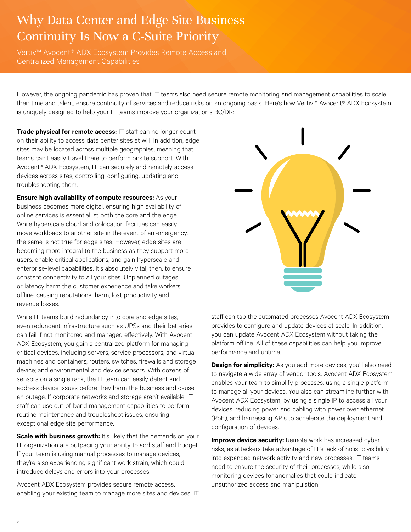# Why Data Center and Edge Site Business Continuity Is Now a C-Suite Priority

Vertiv™ Avocent® ADX Ecosystem Provides Remote Access and Centralized Management Capabilities

However, the ongoing pandemic has proven that IT teams also need secure remote monitoring and management capabilities to scale their time and talent, ensure continuity of services and reduce risks on an ongoing basis. Here's how Vertiv™ Avocent® ADX Ecosystem is uniquely designed to help your IT teams improve your organization's BC/DR:

**Trade physical for remote access:** IT staff can no longer count on their ability to access data center sites at will. In addition, edge sites may be located across multiple geographies, meaning that teams can't easily travel there to perform onsite support. With Avocent® ADX Ecosystem, IT can securely and remotely access devices across sites, controlling, configuring, updating and troubleshooting them.

**Ensure high availability of compute resources:** As your business becomes more digital, ensuring high availability of online services is essential, at both the core and the edge. While hyperscale cloud and colocation facilities can easily move workloads to another site in the event of an emergency, the same is not true for edge sites. However, edge sites are becoming more integral to the business as they support more users, enable critical applications, and gain hyperscale and enterprise-level capabilities. It's absolutely vital, then, to ensure constant connectivity to all your sites. Unplanned outages or latency harm the customer experience and take workers offline, causing reputational harm, lost productivity and revenue losses.

While IT teams build redundancy into core and edge sites, even redundant infrastructure such as UPSs and their batteries can fail if not monitored and managed effectively. With Avocent ADX Ecosystem, you gain a centralized platform for managing critical devices, including servers, service processors, and virtual machines and containers; routers, switches, firewalls and storage device; and environmental and device sensors. With dozens of sensors on a single rack, the IT team can easily detect and address device issues before they harm the business and cause an outage. If corporate networks and storage aren't available, IT staff can use out-of-band management capabilities to perform routine maintenance and troubleshoot issues, ensuring exceptional edge site performance.

**Scale with business growth:** It's likely that the demands on your IT organization are outpacing your ability to add staff and budget. If your team is using manual processes to manage devices, they're also experiencing significant work strain, which could introduce delays and errors into your processes.

Avocent ADX Ecosystem provides secure remote access, enabling your existing team to manage more sites and devices. IT



staff can tap the automated processes Avocent ADX Ecosystem provides to configure and update devices at scale. In addition, you can update Avocent ADX Ecosystem without taking the platform offline. All of these capabilities can help you improve performance and uptime.

**Design for simplicity:** As you add more devices, you'll also need to navigate a wide array of vendor tools. Avocent ADX Ecosystem enables your team to simplify processes, using a single platform to manage all your devices. You also can streamline further with Avocent ADX Ecosystem, by using a single IP to access all your devices, reducing power and cabling with power over ethernet (PoE), and harnessing APIs to accelerate the deployment and configuration of devices.

**Improve device security:** Remote work has increased cyber risks, as attackers take advantage of IT's lack of holistic visibility into expanded network activity and new processes. IT teams need to ensure the security of their processes, while also monitoring devices for anomalies that could indicate unauthorized access and manipulation.